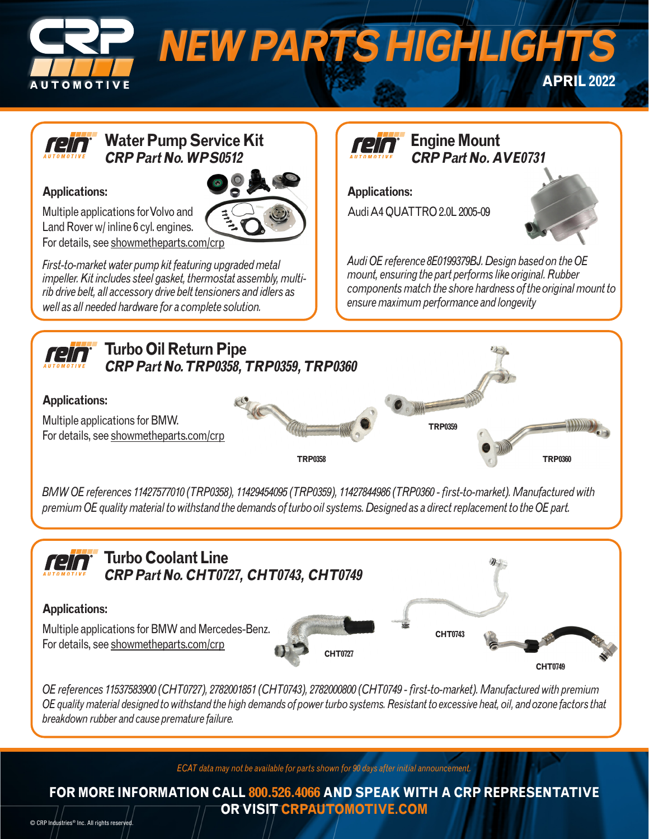

**CRP Part No. WPS0512**

## **Applications:**

Multiple applications for Volvo and Land Rover w/ inline 6 cyl. engines. For details, see showmetheparts.com/crp

*First-to-market water pump kit featuring upgraded metal impeller. Kit includes steel gasket, thermostat assembly, multirib drive belt, all accessory drive belt tensioners and idlers as well as all needed hardware for a complete solution.*

 $\mathbf{1}$   $\mathbf{1}$  **CRP Part No. AVE0731**

**Applications:**  Audi A4 QUATTRO 2.0L 2005-09



*Audi OE reference 8E0199379BJ. Design based on the OE mount, ensuring the part performs like original. Rubber components match the shore hardness of the original mount to ensure maximum performance and longevity*



*BMW OE references 11427577010 (TRP0358), 11429454095 (TRP0359), 11427844986 (TRP0360 - first-to-market). Manufactured with premium OE quality material to withstand the demands of turbo oil systems. Designed as a direct replacement to the OE part.*



*OE references 11537583900 (CHT0727), 2782001851 (CHT0743), 2782000800 (CHT0749 - first-to-market). Manufactured with premium OE quality material designed to withstand the high demands of power turbo systems. Resistant to excessive heat, oil, and ozone factors that breakdown rubber and cause premature failure.*

*ECAT data may not be available for parts shown for 90 days after initial announcement.*

**FOR MORE INFORMATION CALL 800.526.4066 AND SPEAK WITH A CRP REPRESENTATIVE OR VISIT CRPAUTOMOTIVE.COM**